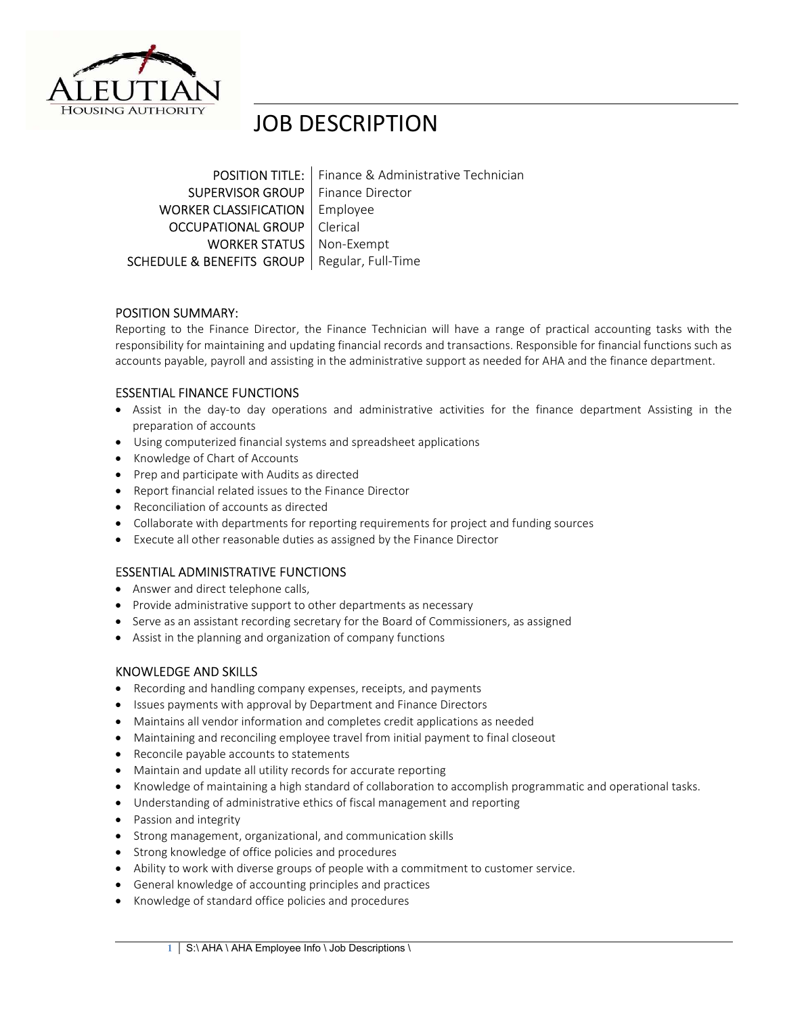

# JOB DESCRIPTION

**POSITION TITLE:** Finance & Administrative Technician **SUPERVISOR GROUP** Finance Director WORKER CLASSIFICATION | Employee **OCCUPATIONAL GROUP** | Clerical **WORKER STATUS** | Non-Exempt SCHEDULE & BENEFITS GROUP | Regular, Full-Time

# POSITION SUMMARY:

Reporting to the Finance Director, the Finance Technician will have a range of practical accounting tasks with the responsibility for maintaining and updating financial records and transactions. Responsible for financial functions such as accounts payable, payroll and assisting in the administrative support as needed for AHA and the finance department.

# ESSENTIAL FINANCE FUNCTIONS

- Assist in the day-to day operations and administrative activities for the finance department Assisting in the preparation of accounts
- Using computerized financial systems and spreadsheet applications
- Knowledge of Chart of Accounts
- Prep and participate with Audits as directed
- Report financial related issues to the Finance Director
- Reconciliation of accounts as directed
- Collaborate with departments for reporting requirements for project and funding sources
- Execute all other reasonable duties as assigned by the Finance Director

#### ESSENTIAL ADMINISTRATIVE FUNCTIONS

- Answer and direct telephone calls.
- Provide administrative support to other departments as necessary
- Serve as an assistant recording secretary for the Board of Commissioners, as assigned
- Assist in the planning and organization of company functions

# KNOWLEDGE AND SKILLS

- Recording and handling company expenses, receipts, and payments
- **•** Issues payments with approval by Department and Finance Directors
- Maintains all vendor information and completes credit applications as needed
- Maintaining and reconciling employee travel from initial payment to final closeout
- Reconcile payable accounts to statements
- Maintain and update all utility records for accurate reporting
- Knowledge of maintaining a high standard of collaboration to accomplish programmatic and operational tasks.
- Understanding of administrative ethics of fiscal management and reporting
- Passion and integrity
- Strong management, organizational, and communication skills
- Strong knowledge of office policies and procedures
- Ability to work with diverse groups of people with a commitment to customer service.
- General knowledge of accounting principles and practices
- Knowledge of standard office policies and procedures